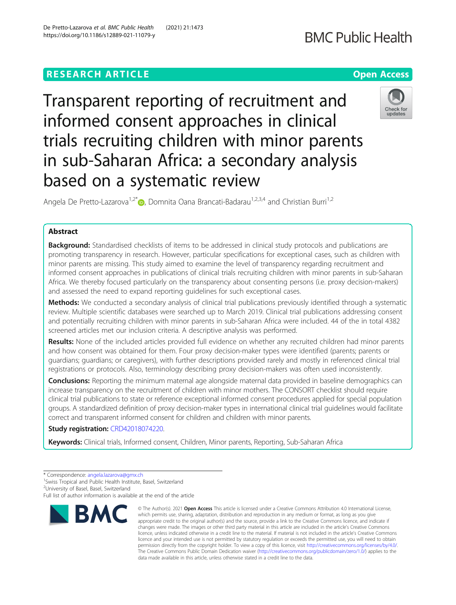# **RESEARCH ARTICLE Example 2014 12:30 The Contract of Contract ACCESS**

Transparent reporting of recruitment and informed consent approaches in clinical trials recruiting children with minor parents in sub-Saharan Africa: a secondary analysis based on a systematic review

Angela De Pretto-Lazarova<sup>1[,](http://orcid.org/0000-0003-3685-3526)2\*</sup>  $\bullet$ , Domnita Oana Brancati-Badarau<sup>1,2,3,4</sup> and Christian Burri<sup>1,2</sup>

# Abstract

**Background:** Standardised checklists of items to be addressed in clinical study protocols and publications are promoting transparency in research. However, particular specifications for exceptional cases, such as children with minor parents are missing. This study aimed to examine the level of transparency regarding recruitment and informed consent approaches in publications of clinical trials recruiting children with minor parents in sub-Saharan Africa. We thereby focused particularly on the transparency about consenting persons (i.e. proxy decision-makers) and assessed the need to expand reporting guidelines for such exceptional cases.

Methods: We conducted a secondary analysis of clinical trial publications previously identified through a systematic review. Multiple scientific databases were searched up to March 2019. Clinical trial publications addressing consent and potentially recruiting children with minor parents in sub-Saharan Africa were included. 44 of the in total 4382 screened articles met our inclusion criteria. A descriptive analysis was performed.

Results: None of the included articles provided full evidence on whether any recruited children had minor parents and how consent was obtained for them. Four proxy decision-maker types were identified (parents; parents or guardians; guardians; or caregivers), with further descriptions provided rarely and mostly in referenced clinical trial registrations or protocols. Also, terminology describing proxy decision-makers was often used inconsistently.

**Conclusions:** Reporting the minimum maternal age alongside maternal data provided in baseline demographics can increase transparency on the recruitment of children with minor mothers. The CONSORT checklist should require clinical trial publications to state or reference exceptional informed consent procedures applied for special population groups. A standardized definition of proxy decision-maker types in international clinical trial guidelines would facilitate correct and transparent informed consent for children and children with minor parents.

# Study registration: [CRD42018074220](https://www.crd.york.ac.uk/prospero/display_record.php?ID=CRD42018074220).

Keywords: Clinical trials, Informed consent, Children, Minor parents, Reporting, Sub-Saharan Africa

<sup>2</sup>University of Basel, Basel, Switzerland

Full list of author information is available at the end of the article



<sup>©</sup> The Author(s), 2021 **Open Access** This article is licensed under a Creative Commons Attribution 4.0 International License, which permits use, sharing, adaptation, distribution and reproduction in any medium or format, as long as you give appropriate credit to the original author(s) and the source, provide a link to the Creative Commons licence, and indicate if changes were made. The images or other third party material in this article are included in the article's Creative Commons licence, unless indicated otherwise in a credit line to the material. If material is not included in the article's Creative Commons licence and your intended use is not permitted by statutory regulation or exceeds the permitted use, you will need to obtain permission directly from the copyright holder. To view a copy of this licence, visit [http://creativecommons.org/licenses/by/4.0/.](http://creativecommons.org/licenses/by/4.0/) The Creative Commons Public Domain Dedication waiver [\(http://creativecommons.org/publicdomain/zero/1.0/](http://creativecommons.org/publicdomain/zero/1.0/)) applies to the data made available in this article, unless otherwise stated in a credit line to the data.



undates

<sup>\*</sup> Correspondence: [angela.lazarova@gmx.ch](mailto:angela.lazarova@gmx.ch) <sup>1</sup>

<sup>&</sup>lt;sup>1</sup> Swiss Tropical and Public Health Institute, Basel, Switzerland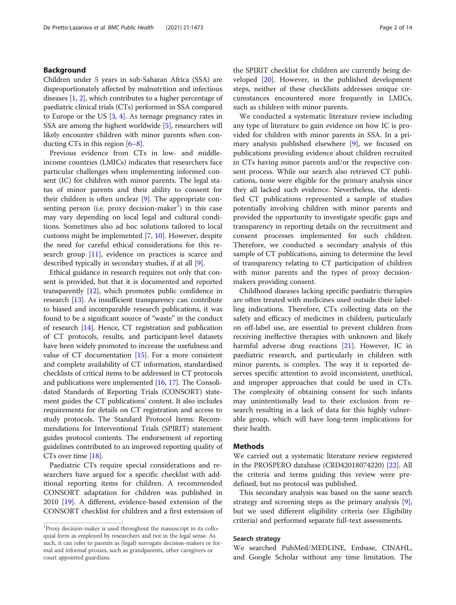# Background

Children under 5 years in sub-Saharan Africa (SSA) are disproportionately affected by malnutrition and infectious diseases [\[1,](#page-11-0) [2](#page-11-0)], which contributes to a higher percentage of paediatric clinical trials (CTs) performed in SSA compared to Europe or the US [[3,](#page-11-0) [4\]](#page-11-0). As teenage pregnancy rates in SSA are among the highest worldwide [[5\]](#page-11-0), researchers will likely encounter children with minor parents when conducting CTs in this region [\[6](#page-11-0)–[8\]](#page-11-0).

Previous evidence from CTs in low- and middleincome countries (LMICs) indicates that researchers face particular challenges when implementing informed consent (IC) for children with minor parents. The legal status of minor parents and their ability to consent for their children is often unclear [[9\]](#page-11-0). The appropriate consenting person (i.e. proxy decision-maker<sup>1</sup>) in this case may vary depending on local legal and cultural conditions. Sometimes also ad hoc solutions tailored to local customs might be implemented [\[7](#page-11-0), [10](#page-11-0)]. However, despite the need for careful ethical considerations for this research group [\[11](#page-11-0)], evidence on practices is scarce and described typically in secondary studies, if at all [\[9](#page-11-0)].

Ethical guidance in research requires not only that consent is provided, but that it is documented and reported transparently [[12](#page-11-0)], which promotes public confidence in research [[13](#page-11-0)]. As insufficient transparency can contribute to biased and incomparable research publications, it was found to be a significant source of "waste" in the conduct of research [\[14\]](#page-11-0). Hence, CT registration and publication of CT protocols, results, and participant-level datasets have been widely promoted to increase the usefulness and value of CT documentation  $[15]$ . For a more consistent and complete availability of CT information, standardised checklists of critical items to be addressed in CT protocols and publications were implemented [[16](#page-11-0), [17\]](#page-11-0). The Consolidated Standards of Reporting Trials (CONSORT) statement guides the CT publications' content. It also includes requirements for details on CT registration and access to study protocols. The Standard Protocol Items: Recommendations for Interventional Trials (SPIRIT) statement guides protocol contents. The endorsement of reporting guidelines contributed to an improved reporting quality of CTs over time [[18](#page-11-0)].

Paediatric CTs require special considerations and researchers have argued for a specific checklist with additional reporting items for children. A recommended CONSORT adaptation for children was published in 2010 [[19\]](#page-11-0). A different, evidence-based extension of the CONSORT checklist for children and a first extension of the SPIRIT checklist for children are currently being developed [[20\]](#page-11-0). However, in the published development steps, neither of these checklists addresses unique circumstances encountered more frequently in LMICs, such as children with minor parents.

We conducted a systematic literature review including any type of literature to gain evidence on how IC is provided for children with minor parents in SSA. In a primary analysis published elsewhere [[9\]](#page-11-0), we focused on publications providing evidence about children recruited in CTs having minor parents and/or the respective consent process. While our search also retrieved CT publications, none were eligible for the primary analysis since they all lacked such evidence. Nevertheless, the identified CT publications represented a sample of studies potentially involving children with minor parents and provided the opportunity to investigate specific gaps and transparency in reporting details on the recruitment and consent processes implemented for such children. Therefore, we conducted a secondary analysis of this sample of CT publications, aiming to determine the level of transparency relating to CT participation of children with minor parents and the types of proxy decisionmakers providing consent.

Childhood diseases lacking specific paediatric therapies are often treated with medicines used outside their labelling indications. Therefore, CTs collecting data on the safety and efficacy of medicines in children, particularly on off-label use, are essential to prevent children from receiving ineffective therapies with unknown and likely harmful adverse drug reactions [[21](#page-12-0)]. However, IC in paediatric research, and particularly in children with minor parents, is complex. The way it is reported deserves specific attention to avoid inconsistent, unethical, and improper approaches that could be used in CTs. The complexity of obtaining consent for such infants may unintentionally lead to their exclusion from research resulting in a lack of data for this highly vulnerable group, which will have long-term implications for their health.

### Methods

We carried out a systematic literature review registered in the PROSPERO database (CRD42018074220) [\[22](#page-12-0)]. All the criteria and terms guiding this review were predefined, but no protocol was published.

This secondary analysis was based on the same search strategy and screening steps as the primary analysis [\[9](#page-11-0)], but we used different eligibility criteria (see Eligibility criteria) and performed separate full-text assessments.

### Search strategy

We searched PubMed/MEDLINE, Embase, CINAHL, and Google Scholar without any time limitation. The

<sup>&</sup>lt;sup>1</sup>Proxy decision-maker is used throughout the manuscript in its colloquial form as employed by researchers and not in the legal sense. As such, it can refer to parents as (legal) surrogate decision-makers or formal and informal proxies, such as grandparents, other caregivers or court appointed guardians.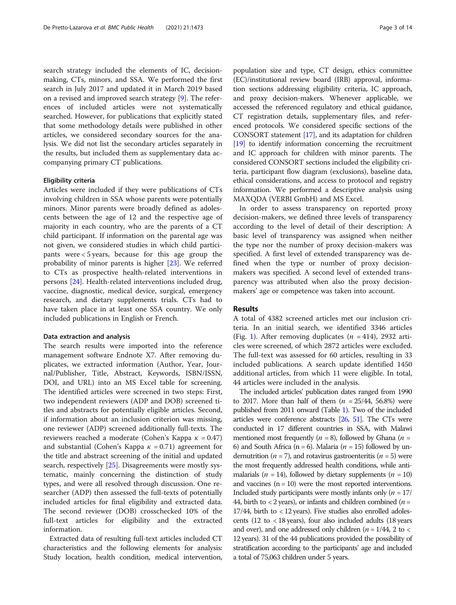search strategy included the elements of IC, decisionmaking, CTs, minors, and SSA. We performed the first search in July 2017 and updated it in March 2019 based on a revised and improved search strategy [[9](#page-11-0)]. The references of included articles were not systematically searched. However, for publications that explicitly stated that some methodology details were published in other articles, we considered secondary sources for the analysis. We did not list the secondary articles separately in the results, but included them as supplementary data accompanying primary CT publications.

#### Eligibility criteria

Articles were included if they were publications of CTs involving children in SSA whose parents were potentially minors. Minor parents were broadly defined as adolescents between the age of 12 and the respective age of majority in each country, who are the parents of a CT child participant. If information on the parental age was not given, we considered studies in which child participants were < 5 years, because for this age group the probability of minor parents is higher [\[23](#page-12-0)]. We referred to CTs as prospective health-related interventions in persons [\[24](#page-12-0)]. Health-related interventions included drug, vaccine, diagnostic, medical device, surgical, emergency research, and dietary supplements trials. CTs had to have taken place in at least one SSA country. We only included publications in English or French.

#### Data extraction and analysis

The search results were imported into the reference management software Endnote X7. After removing duplicates, we extracted information (Author, Year, Journal/Publisher, Title, Abstract, Keywords, ISBN/ISSN, DOI, and URL) into an MS Excel table for screening. The identified articles were screened in two steps: First, two independent reviewers (ADP and DOB) screened titles and abstracts for potentially eligible articles. Second, if information about an inclusion criterion was missing, one reviewer (ADP) screened additionally full-texts. The reviewers reached a moderate (Cohen's Kappa  $\kappa = 0.47$ ) and substantial (Cohen's Kappa  $\kappa = 0.71$ ) agreement for the title and abstract screening of the initial and updated search, respectively [\[25](#page-12-0)]. Disagreements were mostly systematic, mainly concerning the distinction of study types, and were all resolved through discussion. One researcher (ADP) then assessed the full-texts of potentially included articles for final eligibility and extracted data. The second reviewer (DOB) crosschecked 10% of the full-text articles for eligibility and the extracted information.

Extracted data of resulting full-text articles included CT characteristics and the following elements for analysis: Study location, health condition, medical intervention, population size and type, CT design, ethics committee (EC)/institutional review board (IRB) approval, information sections addressing eligibility criteria, IC approach, and proxy decision-makers. Whenever applicable, we accessed the referenced regulatory and ethical guidance, CT registration details, supplementary files, and referenced protocols. We considered specific sections of the CONSORT statement [\[17\]](#page-11-0), and its adaptation for children [[19](#page-11-0)] to identify information concerning the recruitment and IC approach for children with minor parents. The considered CONSORT sections included the eligibility criteria, participant flow diagram (exclusions), baseline data, ethical considerations, and access to protocol and registry information. We performed a descriptive analysis using MAXQDA (VERBI GmbH) and MS Excel.

In order to assess transparency on reported proxy decision-makers, we defined three levels of transparency according to the level of detail of their description: A basic level of transparency was assigned when neither the type nor the number of proxy decision-makers was specified. A first level of extended transparency was defined when the type or number of proxy decisionmakers was specified. A second level of extended transparency was attributed when also the proxy decisionmakers' age or competence was taken into account.

### Results

A total of 4382 screened articles met our inclusion criteria. In an initial search, we identified 3346 articles (Fig. [1](#page-3-0)). After removing duplicates  $(n = 414)$ , 2932 articles were screened, of which 2872 articles were excluded. The full-text was assessed for 60 articles, resulting in 33 included publications. A search update identified 1450 additional articles, from which 11 were eligible. In total, 44 articles were included in the analysis.

The included articles' publication dates ranged from 1990 to 2017. More than half of them  $(n = 25/44, 56.8%)$  were published from 2011 onward (Table [1\)](#page-4-0). Two of the included articles were conference abstracts [\[26,](#page-12-0) [51](#page-12-0)]. The CTs were conducted in 17 different countries in SSA, with Malawi mentioned most frequently ( $n = 8$ ), followed by Ghana ( $n =$ 6) and South Africa (n = 6). Malaria ( $n = 15$ ) followed by undernutrition ( $n = 7$ ), and rotavirus gastroenteritis ( $n = 5$ ) were the most frequently addressed health conditions, while antimalarials ( $n = 14$ ), followed by dietary supplements ( $n = 10$ ) and vaccines  $(n = 10)$  were the most reported interventions. Included study participants were mostly infants only  $(n = 17)$ 44, birth to  $<$  2 years), or infants and children combined ( $n =$ 17/44, birth to < 12 years). Five studies also enrolled adolescents (12 to < 18 years), four also included adults (18 years and over), and one addressed only children ( $n = 1/44$ , 2 to < 12 years). 31 of the 44 publications provided the possibility of stratification according to the participants' age and included a total of 75,063 children under 5 years.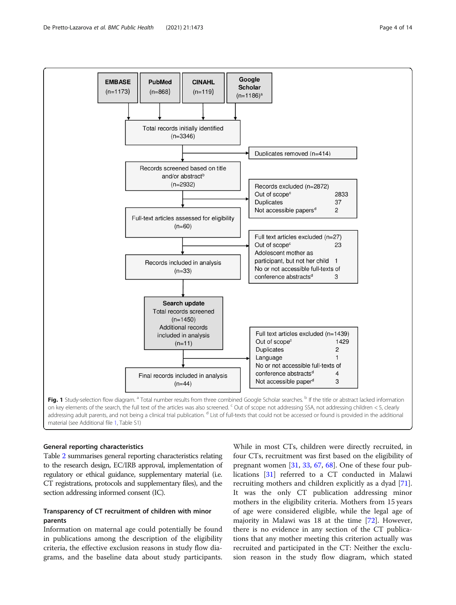<span id="page-3-0"></span>

material (see Additional file [1,](#page-11-0) Table S1)

### General reporting characteristics

Table [2](#page-6-0) summarises general reporting characteristics relating to the research design, EC/IRB approval, implementation of regulatory or ethical guidance, supplementary material (i.e. CT registrations, protocols and supplementary files), and the section addressing informed consent (IC).

# Transparency of CT recruitment of children with minor parents

Information on maternal age could potentially be found in publications among the description of the eligibility criteria, the effective exclusion reasons in study flow diagrams, and the baseline data about study participants.

While in most CTs, children were directly recruited, in four CTs, recruitment was first based on the eligibility of pregnant women  $[31, 33, 67, 68]$  $[31, 33, 67, 68]$  $[31, 33, 67, 68]$  $[31, 33, 67, 68]$  $[31, 33, 67, 68]$  $[31, 33, 67, 68]$  $[31, 33, 67, 68]$  $[31, 33, 67, 68]$ . One of these four publications [\[31](#page-12-0)] referred to a CT conducted in Malawi recruiting mothers and children explicitly as a dyad [\[71](#page-13-0)]. It was the only CT publication addressing minor mothers in the eligibility criteria. Mothers from 15 years of age were considered eligible, while the legal age of majority in Malawi was 18 at the time [\[72\]](#page-13-0). However, there is no evidence in any section of the CT publications that any mother meeting this criterion actually was recruited and participated in the CT: Neither the exclusion reason in the study flow diagram, which stated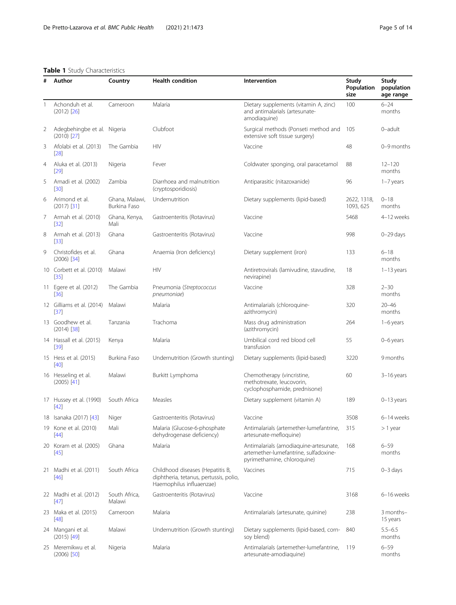# <span id="page-4-0"></span>Table 1 Study Characteristics

| #<br>Author |                                              | Country                                                                                                                            | <b>Health condition</b>                                   | Intervention                                                                                                   | Study<br>Population<br>size | Study<br>population<br>age range |  |
|-------------|----------------------------------------------|------------------------------------------------------------------------------------------------------------------------------------|-----------------------------------------------------------|----------------------------------------------------------------------------------------------------------------|-----------------------------|----------------------------------|--|
| 1           | Achonduh et al.<br>$(2012)$ $[26]$           | Cameroon                                                                                                                           | Malaria                                                   | Dietary supplements (vitamin A, zinc)<br>and antimalarials (artesunate-<br>amodiaguine)                        | 100                         | $6 - 24$<br>months               |  |
| 2           | Adegbehingbe et al. Nigeria<br>$(2010)$ [27] |                                                                                                                                    | Clubfoot                                                  | Surgical methods (Ponseti method and<br>extensive soft tissue surgery)                                         | 105                         | 0-adult                          |  |
| 3           | Afolabi et al. (2013)<br>$[28]$              | The Gambia                                                                                                                         | <b>HIV</b>                                                | Vaccine                                                                                                        | 48                          | 0-9 months                       |  |
| 4           | Aluka et al. (2013)<br>$[29]$                | Nigeria                                                                                                                            | Fever                                                     | Coldwater sponging, oral paracetamol                                                                           | 88                          | $12 - 120$<br>months             |  |
| 5           | Amadi et al. (2002)<br>$[30]$                | Zambia                                                                                                                             | Diarrhoea and malnutrition<br>(cryptosporidiosis)         | Antiparasitic (nitazoxanide)                                                                                   | 96                          | $1-7$ years                      |  |
| 6           | Arimond et al.<br>$(2017)$ [31]              | Ghana, Malawi,<br>Burkina Faso                                                                                                     | Undernutrition                                            | Dietary supplements (lipid-based)                                                                              | 2622, 1318,<br>1093, 625    | $0 - 18$<br>months               |  |
| 7           | Armah et al. (2010)<br>$[32]$                | Ghana, Kenya,<br>Mali                                                                                                              | Gastroenteritis (Rotavirus)                               | Vaccine                                                                                                        | 5468                        | 4-12 weeks                       |  |
| 8           | Armah et al. (2013)<br>$[33]$                | Ghana                                                                                                                              | Gastroenteritis (Rotavirus)                               | Vaccine                                                                                                        | 998                         | $0 - 29$ days                    |  |
| 9           | Christofides et al.<br>$(2006)$ [34]         | Ghana                                                                                                                              | Anaemia (Iron deficiency)                                 | Dietary supplement (iron)                                                                                      | 133                         | $6 - 18$<br>months               |  |
|             | 10 Corbett et al. (2010)<br>$[35]$           | Malawi                                                                                                                             | <b>HIV</b>                                                | Antiretrovirals (lamivudine, stavudine,<br>nevirapine)                                                         | 18                          | $1-13$ years                     |  |
| 11          | Egere et al. (2012)<br>[36]                  | The Gambia                                                                                                                         | Pneumonia (Streptococcus<br>pneumoniae)                   | Vaccine                                                                                                        | 328                         | $2 - 30$<br>months               |  |
|             | 12 Gilliams et al. (2014)<br>[37]            | Malawi                                                                                                                             | Malaria                                                   | Antimalarials (chloroquine-<br>azithromycin)                                                                   | 320                         | $20 - 46$<br>months              |  |
|             | 13 Goodhew et al.<br>$(2014)$ [38]           | Tanzania                                                                                                                           | Trachoma                                                  | Mass drug administration<br>(azithromycin)                                                                     | 264                         | $1-6$ years                      |  |
|             | 14 Hassall et al. (2015)<br>$[39]$           | Kenya                                                                                                                              | Malaria                                                   | Umbilical cord red blood cell<br>transfusion                                                                   | 55                          | 0-6 years                        |  |
|             | 15 Hess et al. (2015)<br>[40]                | Burkina Faso                                                                                                                       | Undernutrition (Growth stunting)                          | Dietary supplements (lipid-based)                                                                              | 3220                        | 9 months                         |  |
|             | 16 Hesseling et al.<br>$(2005)$ [41]         | Malawi                                                                                                                             | Burkitt Lymphoma                                          | Chemotherapy (vincristine,<br>methotrexate, leucovorin,<br>cyclophosphamide, prednisone)                       | 60                          | $3-16$ years                     |  |
|             | 17 Hussey et al. (1990)<br>$[42]$            | South Africa                                                                                                                       | Measles                                                   | Dietary supplement (vitamin A)                                                                                 | 189                         | $0 - 13$ years                   |  |
|             | 18 Isanaka (2017) [43]                       | Niger                                                                                                                              | Gastroenteritis (Rotavirus)                               | Vaccine                                                                                                        | 3508                        | 6-14 weeks                       |  |
|             | 19 Kone et al. (2010)<br>[44]                | Mali                                                                                                                               | Malaria (Glucose-6-phosphate<br>dehydrogenase deficiency) | Antimalarials (artemether-lumefantrine,<br>artesunate-mefloquine)                                              | 315                         | > 1 year                         |  |
|             | 20 Koram et al. (2005)<br>[45]               | Ghana                                                                                                                              | Malaria                                                   | Antimalarials (amodiaquine-artesunate,<br>artemether-lumefantrine, sulfadoxine-<br>pyrimethamine, chloroquine) | 168                         | $6 - 59$<br>months               |  |
|             | 21 Madhi et al. (2011)<br>$[46]$             | South Africa<br>Childhood diseases (Hepatitis B,<br>Vaccines<br>diphtheria, tetanus, pertussis, polio,<br>Haemophilus influaenzae) |                                                           | 715                                                                                                            | $0 - 3$ days                |                                  |  |
|             | 22 Madhi et al. (2012)<br>$[47]$             | South Africa,<br>Malawi                                                                                                            | Gastroenteritis (Rotavirus)                               | Vaccine                                                                                                        | 3168                        | 6-16 weeks                       |  |
|             | 23 Maka et al. (2015)<br>$[48]$              | Cameroon                                                                                                                           | Malaria                                                   | Antimalarials (artesunate, quinine)                                                                            | 238                         | 3 months-<br>15 years            |  |
|             | 24 Mangani et al.<br>$(2015)$ [49]           | Malawi                                                                                                                             | Undernutrition (Growth stunting)                          | Dietary supplements (lipid-based, corn-<br>soy blend)                                                          | 840                         | $5.5 - 6.5$<br>months            |  |
|             | 25 Meremikwu et al.<br>$(2006)$ [50]         | Nigeria                                                                                                                            | Malaria                                                   | Antimalarials (artemether-lumefantrine,<br>artesunate-amodiaquine)                                             | 119                         | $6 - 59$<br>months               |  |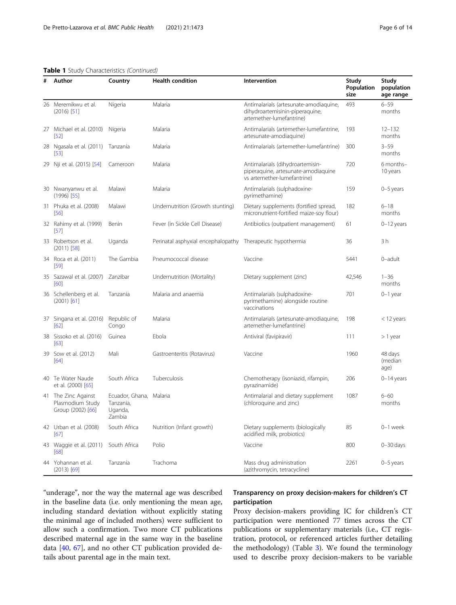# Table 1 Study Characteristics (Continued)

| # | Author                                                       | <b>Health condition</b><br>Country<br>Intervention                                                                         |                                    | Study<br>Population<br>size                                                                            | Study<br>population<br>age range |                            |
|---|--------------------------------------------------------------|----------------------------------------------------------------------------------------------------------------------------|------------------------------------|--------------------------------------------------------------------------------------------------------|----------------------------------|----------------------------|
|   | 26 Meremikwu et al.<br>$(2016)$ [51]                         | Nigeria                                                                                                                    | Malaria                            | Antimalarials (artesunate-amodiaquine,<br>dihydroartemisinin-piperaquine,<br>artemether-lumefantrine)  | 493                              | $6 - 59$<br>months         |
|   | 27 Michael et al. (2010) Nigeria<br>[52]                     |                                                                                                                            | Malaria                            | Antimalarials (artemether-lumefantrine,<br>artesunate-amodiaguine)                                     | 193                              | $12 - 132$<br>months       |
|   | 28 Ngasala et al. (2011) Tanzania<br>$[53]$                  |                                                                                                                            | Malaria                            | Antimalarials (artemether-lumefantrine)                                                                | 300                              | $3 - 59$<br>months         |
|   | 29 Nji et al. (2015) [54]                                    | Cameroon                                                                                                                   | Malaria                            | Antimalarials (dihydroartemisin-<br>piperaquine, artesunate-amodiaquine<br>vs artemether-lumefantrine) | 720                              | 6 months-<br>10 years      |
|   | 30 Nwanyanwu et al.<br>$(1996)$ [55]                         | Malawi                                                                                                                     | Malaria                            | Antimalarials (sulphadoxine-<br>pyrimethamine)                                                         | 159                              | 0-5 years                  |
|   | 31 Phuka et al. (2008)<br>[56]                               | Malawi                                                                                                                     | Undernutrition (Growth stunting)   | Dietary supplements (fortified spread,<br>micronutrient-fortified maize-soy flour)                     | 182                              | $6 - 18$<br>months         |
|   | 32 Rahimy et al. (1999)<br>[57]                              | Benin                                                                                                                      | Fever (in Sickle Cell Disease)     | Antibiotics (outpatient management)                                                                    | 61                               | $0 - 12$ years             |
|   | 33 Robertson et al.<br>$(2011)$ [58]                         | Uganda                                                                                                                     | Perinatal asphyxial encephalopathy | Therapeutic hypothermia                                                                                | 36                               | 3h                         |
|   | 34 Roca et al. (2011)<br>$[59]$                              | The Gambia                                                                                                                 | Pneumococcal disease               | Vaccine                                                                                                |                                  | 0-adult                    |
|   | 35 Sazawal et al. (2007) Zanzibar<br>[60]                    |                                                                                                                            | Undernutrition (Mortality)         | Dietary supplement (zinc)                                                                              | 42,546                           | $1 - 36$<br>months         |
|   | 36 Schellenberg et al.<br>$(2001)$ [61]                      | Tanzania                                                                                                                   | Malaria and anaemia                | Antimalarials (sulphadoxine-<br>pyrimethamine) alongside routine<br>vaccinations                       | 701                              | $0-1$ year                 |
|   | 37 Singana et al. (2016) Republic of<br>[62]                 | Congo                                                                                                                      | Malaria                            | Antimalarials (artesunate-amodiaquine,<br>artemether-lumefantrine)                                     | 198                              | < 12 years                 |
|   | 38 Sissoko et al. (2016)<br>[63]                             | Guinea                                                                                                                     | Ebola                              | Antiviral (favipiravir)                                                                                | 111                              | $> 1$ year                 |
|   | 39 Sow et al. (2012)<br>[64]                                 | Mali                                                                                                                       | Gastroenteritis (Rotavirus)        | Vaccine                                                                                                | 1960                             | 48 days<br>(median<br>age) |
|   | 40 Te Water Naude<br>et al. (2000) [65]                      | South Africa                                                                                                               | Tuberculosis                       | Chemotherapy (isoniazid, rifampin,<br>pyrazinamide)                                                    | 206                              | $0-14$ years               |
|   | 41 The Zinc Against<br>Plasmodium Study<br>Group (2002) [66] | Ecuador, Ghana, Malaria<br>Antimalarial and dietary supplement<br>(chloroquine and zinc)<br>Tanzania,<br>Uganda,<br>Zambia |                                    | 1087                                                                                                   | $6 - 60$<br>months               |                            |
|   | 42 Urban et al. (2008)<br>[67]                               | South Africa                                                                                                               | Nutrition (Infant growth)          | Dietary supplements (biologically<br>acidified milk, probiotics)                                       | 85                               | 0-1 week                   |
|   | 43 Waggie et al. (2011)<br>[68]                              | South Africa                                                                                                               | Polio                              | Vaccine                                                                                                | 800                              | $0 - 30$ days              |
|   | 44 Yohannan et al.<br>$(2013)$ [69]                          | Tanzania                                                                                                                   | Trachoma                           | Mass drug administration<br>(azithromycin, tetracycline)                                               | 2261                             | 0-5 years                  |

"underage", nor the way the maternal age was described in the baseline data (i.e. only mentioning the mean age, including standard deviation without explicitly stating the minimal age of included mothers) were sufficient to allow such a confirmation. Two more CT publications described maternal age in the same way in the baseline data [[40](#page-12-0), [67\]](#page-13-0), and no other CT publication provided details about parental age in the main text.

# Transparency on proxy decision-makers for children's CT participation

Proxy decision-makers providing IC for children's CT participation were mentioned 77 times across the CT publications or supplementary materials (i.e., CT registration, protocol, or referenced articles further detailing the methodology) (Table [3](#page-7-0)). We found the terminology used to describe proxy decision-makers to be variable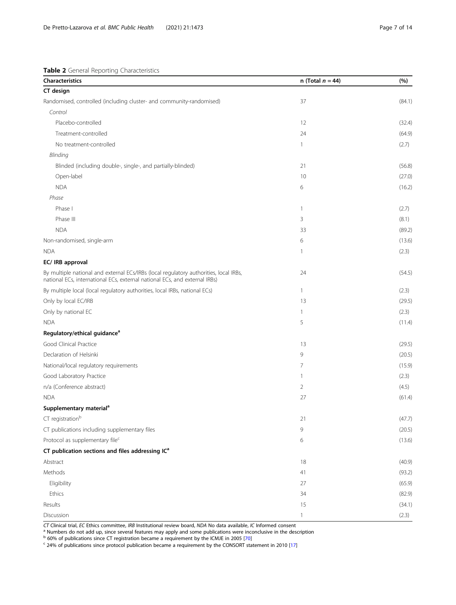<span id="page-6-0"></span>

|  |  | <b>Table 2</b> General Reporting Characteristics |
|--|--|--------------------------------------------------|
|  |  |                                                  |

| <b>Characteristics</b>                                                                                                                                              | n (Total $n = 44$ ) | (%)    |
|---------------------------------------------------------------------------------------------------------------------------------------------------------------------|---------------------|--------|
| CT design                                                                                                                                                           |                     |        |
| Randomised, controlled (including cluster- and community-randomised)                                                                                                | 37                  | (84.1) |
| Control                                                                                                                                                             |                     |        |
| Placebo-controlled                                                                                                                                                  | 12                  | (32.4) |
| Treatment-controlled                                                                                                                                                | 24                  | (64.9) |
| No treatment-controlled                                                                                                                                             | 1                   | (2.7)  |
| Blinding                                                                                                                                                            |                     |        |
| Blinded (including double-, single-, and partially-blinded)                                                                                                         | 21                  | (56.8) |
| Open-label                                                                                                                                                          | 10                  | (27.0) |
| <b>NDA</b>                                                                                                                                                          | 6                   | (16.2) |
| Phase                                                                                                                                                               |                     |        |
| Phase I                                                                                                                                                             | $\mathbf{1}$        | (2.7)  |
| Phase III                                                                                                                                                           | 3                   | (8.1)  |
| <b>NDA</b>                                                                                                                                                          | 33                  | (89.2) |
| Non-randomised, single-arm                                                                                                                                          | 6                   | (13.6) |
| <b>NDA</b>                                                                                                                                                          | 1                   | (2.3)  |
| EC/ IRB approval                                                                                                                                                    |                     |        |
| By multiple national and external ECs/IRBs (local regulatory authorities, local IRBs,<br>national ECs, international ECs, external national ECs, and external IRBs) | 24                  | (54.5) |
| By multiple local (local regulatory authorities, local IRBs, national ECs)                                                                                          | $\mathbf{1}$        | (2.3)  |
| Only by local EC/IRB                                                                                                                                                | 13                  | (29.5) |
| Only by national EC                                                                                                                                                 | 1                   | (2.3)  |
| <b>NDA</b>                                                                                                                                                          | 5                   | (11.4) |
| Regulatory/ethical guidance <sup>a</sup>                                                                                                                            |                     |        |
| Good Clinical Practice                                                                                                                                              | 13                  | (29.5) |
| Declaration of Helsinki                                                                                                                                             | 9                   | (20.5) |
| National/local regulatory requirements                                                                                                                              | 7                   | (15.9) |
| Good Laboratory Practice                                                                                                                                            | $\mathbf{1}$        | (2.3)  |
| n/a (Conference abstract)                                                                                                                                           | 2                   | (4.5)  |
| <b>NDA</b>                                                                                                                                                          | 27                  | (61.4) |
| Supplementary material <sup>a</sup>                                                                                                                                 |                     |        |
| $CT$ registration $b$                                                                                                                                               | 21                  | (47.7) |
| CT publications including supplementary files                                                                                                                       | 9                   | (20.5) |
| Protocol as supplementary file <sup>c</sup>                                                                                                                         | 6                   | (13.6) |
| CT publication sections and files addressing IC <sup>a</sup>                                                                                                        |                     |        |
| Abstract                                                                                                                                                            | 18                  | (40.9) |
| Methods                                                                                                                                                             | 41                  | (93.2) |
| Eligibility                                                                                                                                                         | 27                  | (65.9) |
| Ethics                                                                                                                                                              | 34                  | (82.9) |
| Results                                                                                                                                                             | 15                  | (34.1) |
| Discussion                                                                                                                                                          | $\mathbf{1}$        | (2.3)  |

*CT* Clinical trial, *EC* Ethics committee, IRB Institutional review board, NDA No data available, IC Informed consent<br><sup>a</sup> Numbers do not add up, since several features may apply and some publications were inconclusive in

<sup>b</sup> 60% of publications since CT registration became a requirement by the ICMJE in 2005 [\[70](#page-13-0)]<br><sup>c</sup> 24% of publications since protocol publication became a requirement by the CONSORT statement in 2010 [[17\]](#page-11-0)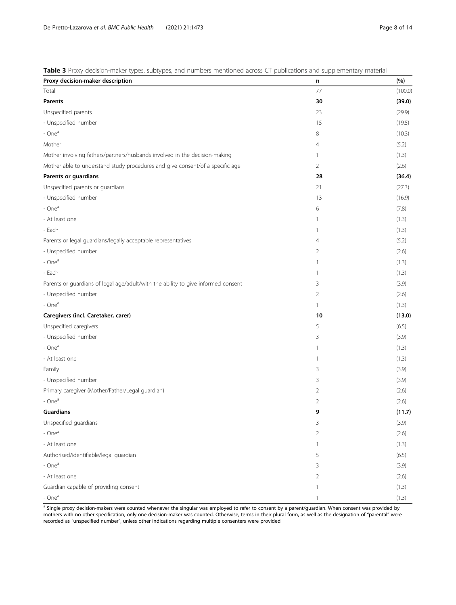<span id="page-7-0"></span>Table 3 Proxy decision-maker types, subtypes, and numbers mentioned across CT publications and supplementary material

| Proxy decision-maker description                                                  | n              | (%)     |
|-----------------------------------------------------------------------------------|----------------|---------|
| Total                                                                             | 77             | (100.0) |
| <b>Parents</b>                                                                    | 30             | (39.0)  |
| Unspecified parents                                                               | 23             | (29.9)  |
| - Unspecified number                                                              | 15             | (19.5)  |
| $- Onea$                                                                          | 8              | (10.3)  |
| Mother                                                                            | 4              | (5.2)   |
| Mother involving fathers/partners/husbands involved in the decision-making        | 1              | (1.3)   |
| Mother able to understand study procedures and give consent/of a specific age     | $\overline{2}$ | (2.6)   |
| Parents or guardians                                                              | 28             | (36.4)  |
| Unspecified parents or guardians                                                  | 21             | (27.3)  |
| - Unspecified number                                                              | 13             | (16.9)  |
| - One <sup>a</sup>                                                                | 6              | (7.8)   |
| - At least one                                                                    | 1              | (1.3)   |
| - Each                                                                            | 1              | (1.3)   |
| Parents or legal guardians/legally acceptable representatives                     | $\overline{4}$ | (5.2)   |
| - Unspecified number                                                              | 2              | (2.6)   |
| $- Onea$                                                                          | 1              | (1.3)   |
| - Each                                                                            | 1              | (1.3)   |
| Parents or guardians of legal age/adult/with the ability to give informed consent | 3              | (3.9)   |
| - Unspecified number                                                              | 2              | (2.6)   |
| - One <sup>a</sup>                                                                | $\mathbf{1}$   | (1.3)   |
| Caregivers (incl. Caretaker, carer)                                               | 10             | (13.0)  |
| Unspecified caregivers                                                            | 5              | (6.5)   |
| - Unspecified number                                                              | 3              | (3.9)   |
| $- Onea$                                                                          | 1              | (1.3)   |
| - At least one                                                                    | 1              | (1.3)   |
| Family                                                                            | 3              | (3.9)   |
| - Unspecified number                                                              | 3              | (3.9)   |
| Primary caregiver (Mother/Father/Legal guardian)                                  | 2              | (2.6)   |
| - One <sup>a</sup>                                                                | $\overline{2}$ | (2.6)   |
| <b>Guardians</b>                                                                  | 9              | (11.7)  |
| Unspecified guardians                                                             | 3              | (3.9)   |
| - One <sup>a</sup>                                                                | 2              | (2.6)   |
| - At least one                                                                    | 1              | (1.3)   |
| Authorised/identifiable/legal guardian                                            | 5              | (6.5)   |
| $- Onea$                                                                          | 3              | (3.9)   |
| - At least one                                                                    | 2              | (2.6)   |
| Guardian capable of providing consent                                             | 1              | (1.3)   |
| $- Onea$                                                                          | 1              | (1.3)   |

a Single proxy decision-makers were counted whenever the singular was employed to refer to consent by a parent/guardian. When consent was provided by mothers with no other specification, only one decision-maker was counted. Otherwise, terms in their plural form, as well as the designation of "parental" were recorded as "unspecified number", unless other indications regarding multiple consenters were provided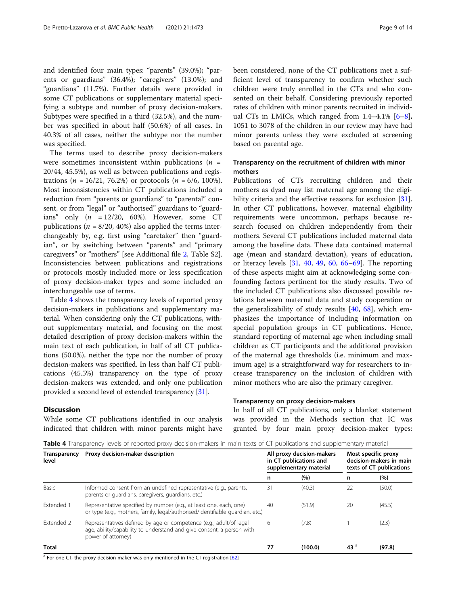and identified four main types: "parents" (39.0%); "parents or guardians" (36.4%); "caregivers" (13.0%); and "guardians" (11.7%). Further details were provided in some CT publications or supplementary material specifying a subtype and number of proxy decision-makers. Subtypes were specified in a third (32.5%), and the number was specified in about half (50.6%) of all cases. In 40.3% of all cases, neither the subtype nor the number was specified.

The terms used to describe proxy decision-makers were sometimes inconsistent within publications ( $n =$ 20/44, 45.5%), as well as between publications and registrations (*n* = 16/21, 76.2%) or protocols (*n* = 6/6, 100%). Most inconsistencies within CT publications included a reduction from "parents or guardians" to "parental" consent, or from "legal" or "authorised" guardians to "guardians" only  $(n = 12/20, 60\%)$ . However, some CT publications ( $n = 8/20$ , 40%) also applied the terms interchangeably by, e.g. first using "caretaker" then "guardian", or by switching between "parents" and "primary caregivers" or "mothers" [see Additional file [2](#page-11-0), Table S2]. Inconsistencies between publications and registrations or protocols mostly included more or less specification of proxy decision-maker types and some included an interchangeable use of terms.

Table 4 shows the transparency levels of reported proxy decision-makers in publications and supplementary material. When considering only the CT publications, without supplementary material, and focusing on the most detailed description of proxy decision-makers within the main text of each publication, in half of all CT publications (50.0%), neither the type nor the number of proxy decision-makers was specified. In less than half CT publications (45.5%) transparency on the type of proxy decision-makers was extended, and only one publication provided a second level of extended transparency [[31](#page-12-0)].

### **Discussion**

While some CT publications identified in our analysis indicated that children with minor parents might have been considered, none of the CT publications met a sufficient level of transparency to confirm whether such children were truly enrolled in the CTs and who consented on their behalf. Considering previously reported rates of children with minor parents recruited in individual CTs in LMICs, which ranged from  $1.4-4.1\%$  [\[6](#page-11-0)-[8](#page-11-0)], 1051 to 3078 of the children in our review may have had minor parents unless they were excluded at screening based on parental age.

# Transparency on the recruitment of children with minor mothers

Publications of CTs recruiting children and their mothers as dyad may list maternal age among the eligi-bility criteria and the effective reasons for exclusion [\[31](#page-12-0)]. In other CT publications, however, maternal eligibility requirements were uncommon, perhaps because research focused on children independently from their mothers. Several CT publications included maternal data among the baseline data. These data contained maternal age (mean and standard deviation), years of education, or literacy levels [[31,](#page-12-0) [40,](#page-12-0) [49,](#page-12-0) [60,](#page-13-0) [66](#page-13-0)–[69\]](#page-13-0). The reporting of these aspects might aim at acknowledging some confounding factors pertinent for the study results. Two of the included CT publications also discussed possible relations between maternal data and study cooperation or the generalizability of study results [[40,](#page-12-0) [68\]](#page-13-0), which emphasizes the importance of including information on special population groups in CT publications. Hence, standard reporting of maternal age when including small children as CT participants and the additional provision of the maternal age thresholds (i.e. minimum and maximum age) is a straightforward way for researchers to increase transparency on the inclusion of children with minor mothers who are also the primary caregiver.

### Transparency on proxy decision-makers

In half of all CT publications, only a blanket statement was provided in the Methods section that IC was granted by four main proxy decision-maker types:

Table 4 Transparency levels of reported proxy decision-makers in main texts of CT publications and supplementary material

| Transparency<br>level | Proxy decision-maker description                                                                                                                                  |    | All proxy decision-makers<br>in CT publications and<br>supplementary material |                 | Most specific proxy<br>decision-makers in main<br>texts of CT publications |  |
|-----------------------|-------------------------------------------------------------------------------------------------------------------------------------------------------------------|----|-------------------------------------------------------------------------------|-----------------|----------------------------------------------------------------------------|--|
|                       |                                                                                                                                                                   | n  | (%)                                                                           | n               | (%)                                                                        |  |
| Basic                 | Informed consent from an undefined representative (e.g., parents,<br>parents or quardians, caregivers, quardians, etc.)                                           | 31 | (40.3)                                                                        | 22              | (50.0)                                                                     |  |
| Extended 1            | Representative specified by number (e.g., at least one, each, one)<br>or type (e.g., mothers, family, legal/authorised/identifiable quardian, etc.)               | 40 | (51.9)                                                                        | 20              | (45.5)                                                                     |  |
| <b>Extended 2</b>     | Representatives defined by age or competence (e.g., adult/of legal<br>age, ability/capability to understand and give consent, a person with<br>power of attorney) | 6  | (7.8)                                                                         |                 | (2.3)                                                                      |  |
| <b>Total</b>          |                                                                                                                                                                   | 77 | (100.0)                                                                       | 43 <sup>3</sup> | (97.8)                                                                     |  |

<sup>a</sup> For one CT, the proxy decision-maker was only mentioned in the CT registration [[62\]](#page-13-0)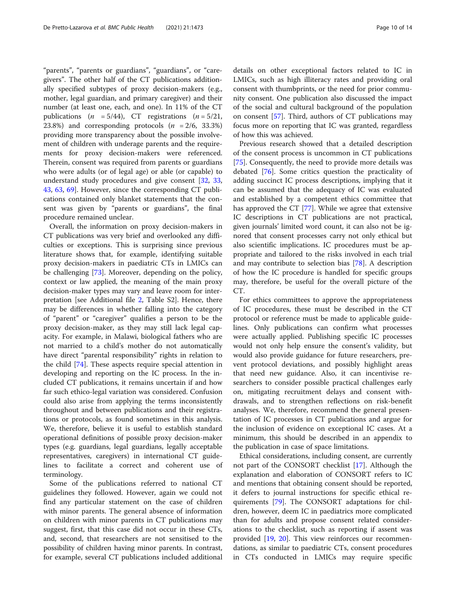"parents", "parents or guardians", "guardians", or "caregivers". The other half of the CT publications additionally specified subtypes of proxy decision-makers (e.g., mother, legal guardian, and primary caregiver) and their number (at least one, each, and one). In 11% of the CT publications ( $n = 5/44$ ), CT registrations ( $n = 5/21$ , 23.8%) and corresponding protocols  $(n = 2/6, 33.3%)$ providing more transparency about the possible involvement of children with underage parents and the requirements for proxy decision-makers were referenced. Therein, consent was required from parents or guardians who were adults (or of legal age) or able (or capable) to understand study procedures and give consent [\[32](#page-12-0), [33](#page-12-0), [43,](#page-12-0) [63,](#page-13-0) [69](#page-13-0)]. However, since the corresponding CT publications contained only blanket statements that the consent was given by "parents or guardians", the final procedure remained unclear.

Overall, the information on proxy decision-makers in CT publications was very brief and overlooked any difficulties or exceptions. This is surprising since previous literature shows that, for example, identifying suitable proxy decision-makers in paediatric CTs in LMICs can be challenging [[73\]](#page-13-0). Moreover, depending on the policy, context or law applied, the meaning of the main proxy decision-maker types may vary and leave room for interpretation [see Additional file [2](#page-11-0), Table S2]. Hence, there may be differences in whether falling into the category of "parent" or "caregiver" qualifies a person to be the proxy decision-maker, as they may still lack legal capacity. For example, in Malawi, biological fathers who are not married to a child's mother do not automatically have direct "parental responsibility" rights in relation to the child [[74\]](#page-13-0). These aspects require special attention in developing and reporting on the IC process. In the included CT publications, it remains uncertain if and how far such ethico-legal variation was considered. Confusion could also arise from applying the terms inconsistently throughout and between publications and their registrations or protocols, as found sometimes in this analysis. We, therefore, believe it is useful to establish standard operational definitions of possible proxy decision-maker types (e.g. guardians, legal guardians, legally acceptable representatives, caregivers) in international CT guidelines to facilitate a correct and coherent use of terminology.

Some of the publications referred to national CT guidelines they followed. However, again we could not find any particular statement on the case of children with minor parents. The general absence of information on children with minor parents in CT publications may suggest, first, that this case did not occur in these CTs, and, second, that researchers are not sensitised to the possibility of children having minor parents. In contrast, for example, several CT publications included additional

details on other exceptional factors related to IC in LMICs, such as high illiteracy rates and providing oral consent with thumbprints, or the need for prior community consent. One publication also discussed the impact of the social and cultural background of the population on consent [\[57](#page-13-0)]. Third, authors of CT publications may focus more on reporting that IC was granted, regardless

of how this was achieved.

Previous research showed that a detailed description of the consent process is uncommon in CT publications [[75\]](#page-13-0). Consequently, the need to provide more details was debated [[76\]](#page-13-0). Some critics question the practicality of adding succinct IC process descriptions, implying that it can be assumed that the adequacy of IC was evaluated and established by a competent ethics committee that has approved the CT [\[77](#page-13-0)]. While we agree that extensive IC descriptions in CT publications are not practical, given journals' limited word count, it can also not be ignored that consent processes carry not only ethical but also scientific implications. IC procedures must be appropriate and tailored to the risks involved in each trial and may contribute to selection bias [[78\]](#page-13-0). A description of how the IC procedure is handled for specific groups may, therefore, be useful for the overall picture of the CT.

For ethics committees to approve the appropriateness of IC procedures, these must be described in the CT protocol or reference must be made to applicable guidelines. Only publications can confirm what processes were actually applied. Publishing specific IC processes would not only help ensure the consent's validity, but would also provide guidance for future researchers, prevent protocol deviations, and possibly highlight areas that need new guidance. Also, it can incentivise researchers to consider possible practical challenges early on, mitigating recruitment delays and consent withdrawals, and to strengthen reflections on risk-benefit analyses. We, therefore, recommend the general presentation of IC processes in CT publications and argue for the inclusion of evidence on exceptional IC cases. At a minimum, this should be described in an appendix to the publication in case of space limitations.

Ethical considerations, including consent, are currently not part of the CONSORT checklist [\[17](#page-11-0)]. Although the explanation and elaboration of CONSORT refers to IC and mentions that obtaining consent should be reported, it defers to journal instructions for specific ethical requirements [[79\]](#page-13-0). The CONSORT adaptations for children, however, deem IC in paediatrics more complicated than for adults and propose consent related considerations to the checklist, such as reporting if assent was provided [[19,](#page-11-0) [20](#page-11-0)]. This view reinforces our recommendations, as similar to paediatric CTs, consent procedures in CTs conducted in LMICs may require specific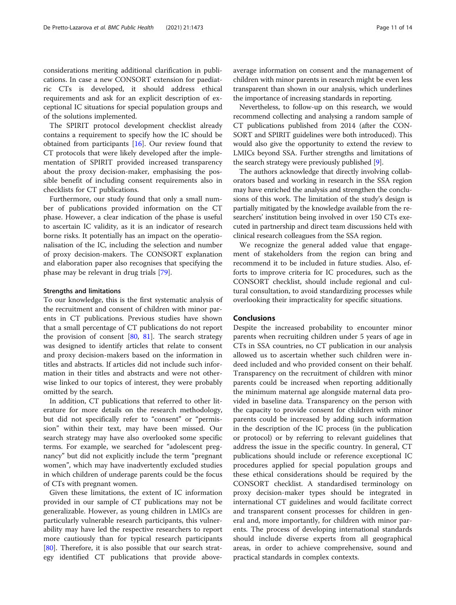considerations meriting additional clarification in publications. In case a new CONSORT extension for paediatric CTs is developed, it should address ethical requirements and ask for an explicit description of exceptional IC situations for special population groups and of the solutions implemented.

The SPIRIT protocol development checklist already contains a requirement to specify how the IC should be obtained from participants [[16](#page-11-0)]. Our review found that CT protocols that were likely developed after the implementation of SPIRIT provided increased transparency about the proxy decision-maker, emphasising the possible benefit of including consent requirements also in checklists for CT publications.

Furthermore, our study found that only a small number of publications provided information on the CT phase. However, a clear indication of the phase is useful to ascertain IC validity, as it is an indicator of research borne risks. It potentially has an impact on the operationalisation of the IC, including the selection and number of proxy decision-makers. The CONSORT explanation and elaboration paper also recognises that specifying the phase may be relevant in drug trials [[79](#page-13-0)].

#### Strengths and limitations

To our knowledge, this is the first systematic analysis of the recruitment and consent of children with minor parents in CT publications. Previous studies have shown that a small percentage of CT publications do not report the provision of consent  $[80, 81]$  $[80, 81]$  $[80, 81]$  $[80, 81]$ . The search strategy was designed to identify articles that relate to consent and proxy decision-makers based on the information in titles and abstracts. If articles did not include such information in their titles and abstracts and were not otherwise linked to our topics of interest, they were probably omitted by the search.

In addition, CT publications that referred to other literature for more details on the research methodology, but did not specifically refer to "consent" or "permission" within their text, may have been missed. Our search strategy may have also overlooked some specific terms. For example, we searched for "adolescent pregnancy" but did not explicitly include the term "pregnant women", which may have inadvertently excluded studies in which children of underage parents could be the focus of CTs with pregnant women.

Given these limitations, the extent of IC information provided in our sample of CT publications may not be generalizable. However, as young children in LMICs are particularly vulnerable research participants, this vulnerability may have led the respective researchers to report more cautiously than for typical research participants [[80\]](#page-13-0). Therefore, it is also possible that our search strategy identified CT publications that provide aboveaverage information on consent and the management of children with minor parents in research might be even less transparent than shown in our analysis, which underlines the importance of increasing standards in reporting.

Nevertheless, to follow-up on this research, we would recommend collecting and analysing a random sample of CT publications published from 2014 (after the CON-SORT and SPIRIT guidelines were both introduced). This would also give the opportunity to extend the review to LMICs beyond SSA. Further strengths and limitations of the search strategy were previously published [[9\]](#page-11-0).

The authors acknowledge that directly involving collaborators based and working in research in the SSA region may have enriched the analysis and strengthen the conclusions of this work. The limitation of the study's design is partially mitigated by the knowledge available from the researchers' institution being involved in over 150 CTs executed in partnership and direct team discussions held with clinical research colleagues from the SSA region.

We recognize the general added value that engagement of stakeholders from the region can bring and recommend it to be included in future studies. Also, efforts to improve criteria for IC procedures, such as the CONSORT checklist, should include regional and cultural consultation, to avoid standardizing processes while overlooking their impracticality for specific situations.

#### Conclusions

Despite the increased probability to encounter minor parents when recruiting children under 5 years of age in CTs in SSA countries, no CT publication in our analysis allowed us to ascertain whether such children were indeed included and who provided consent on their behalf. Transparency on the recruitment of children with minor parents could be increased when reporting additionally the minimum maternal age alongside maternal data provided in baseline data. Transparency on the person with the capacity to provide consent for children with minor parents could be increased by adding such information in the description of the IC process (in the publication or protocol) or by referring to relevant guidelines that address the issue in the specific country. In general, CT publications should include or reference exceptional IC procedures applied for special population groups and these ethical considerations should be required by the CONSORT checklist. A standardised terminology on proxy decision-maker types should be integrated in international CT guidelines and would facilitate correct and transparent consent processes for children in general and, more importantly, for children with minor parents. The process of developing international standards should include diverse experts from all geographical areas, in order to achieve comprehensive, sound and practical standards in complex contexts.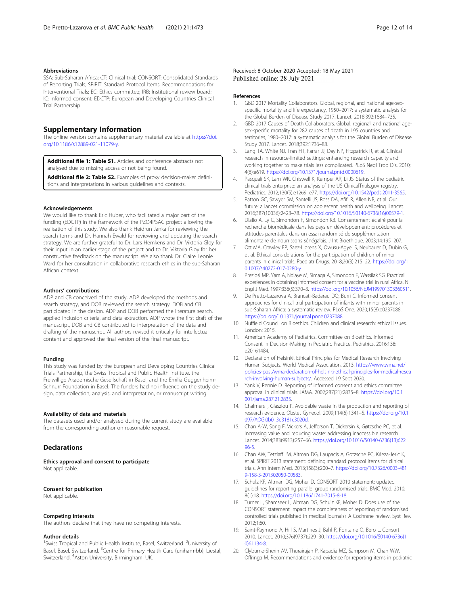#### <span id="page-11-0"></span>Abbreviations

SSA: Sub-Saharan Africa; CT: Clinical trial; CONSORT: Consolidated Standards of Reporting Trials; SPIRIT: Standard Protocol Items: Recommendations for Interventional Trials; EC: Ethics committee; IRB: Institutional review board; IC: Informed consent; EDCTP: European and Developing Countries Clinical Trial Partnership

### Supplementary Information

The online version contains supplementary material available at [https://doi.](https://doi.org/10.1186/s12889-021-11079-y) [org/10.1186/s12889-021-11079-y](https://doi.org/10.1186/s12889-021-11079-y).

Additional file 1: Table S1. Articles and conference abstracts not analysed due to missing access or not being found.

Additional file 2: Table S2. Examples of proxy decision-maker definitions and interpretations in various guidelines and contexts.

#### Acknowledgements

We would like to thank Eric Huber, who facilitated a major part of the funding (EDCTP) in the framework of the PZQ4PSAC project allowing the realisation of this study. We also thank Heidrun Janka for reviewing the search terms and Dr. Hannah Ewald for reviewing and updating the search strategy. We are further grateful to Dr. Lars Hemkens and Dr. Viktoria Gloy for their input in an earlier stage of the project and to Dr. Viktoria Gloy for her constructive feedback on the manuscript. We also thank Dr. Claire Leonie Ward for her consultation in collaborative research ethics in the sub-Saharan African context.

#### Authors' contributions

ADP and CB conceived of the study, ADP developed the methods and search strategy, and DOB reviewed the search strategy. DOB and CB participated in the design. ADP and DOB performed the literature search, applied inclusion criteria, and data extraction. ADP wrote the first draft of the manuscript, DOB and CB contributed to interpretation of the data and drafting of the manuscript. All authors revised it critically for intellectual content and approved the final version of the final manuscript.

#### Funding

This study was funded by the European and Developing Countries Clinical Trials Partnership, the Swiss Tropical and Public Health Institute, the Freiwillige Akademische Gesellschaft in Basel, and the Emilia Guggenheim-Schnurr Foundation in Basel. The funders had no influence on the study design, data collection, analysis, and interpretation, or manuscript writing.

#### Availability of data and materials

The datasets used and/or analysed during the current study are available from the corresponding author on reasonable request.

#### **Declarations**

Ethics approval and consent to participate Not applicable.

#### Consent for publication

Not applicable.

#### Competing interests

The authors declare that they have no competing interests.

#### Author details

<sup>1</sup>Swiss Tropical and Public Health Institute, Basel, Switzerland. <sup>2</sup>University of Basel, Basel, Switzerland. <sup>3</sup>Centre for Primary Health Care (uniham-bb), Liestal, Switzerland. <sup>4</sup>Aston University, Birmingham, UK.

#### References

- 1. GBD 2017 Mortality Collaborators. Global, regional, and national age-sexspecific mortality and life expectancy, 1950–2017: a systematic analysis for the Global Burden of Disease Study 2017. Lancet. 2018;392:1684–735.
- 2. GBD 2017 Causes of Death Collaborators. Global, regional, and national agesex-specific mortality for 282 causes of death in 195 countries and territories, 1980–2017: a systematic analysis for the Global Burden of Disease Study 2017. Lancet. 2018;392:1736–88.
- Lang TA, White NJ, Tran HT, Farrar JJ, Day NP, Fitzpatrick R, et al. Clinical research in resource-limited settings: enhancing research capacity and working together to make trials less complicated. PLoS Negl Trop Dis. 2010; 4(6):e619. <https://doi.org/10.1371/journal.pntd.0000619>.
- 4. Pasquali SK, Lam WK, Chiswell K, Kemper AR, Li JS. Status of the pediatric clinical trials enterprise: an analysis of the US ClinicalTrials.gov registry. Pediatrics. 2012;130(5):e1269–e77. <https://doi.org/10.1542/peds.2011-3565>.
- 5. Patton GC, Sawyer SM, Santelli JS, Ross DA, Afifi R, Allen NB, et al. Our future: a lancet commission on adolescent health and wellbeing. Lancet. 2016;387(10036):2423–78. [https://doi.org/10.1016/S0140-6736\(16\)00579-1](https://doi.org/10.1016/S0140-6736(16)00579-1).
- 6. Diallo A, Ly C, Simondon F, Simondon KB. Consentement éclairé pour la recherche biomédicale dans les pays en développement: procédures et attitudes parentales dans un essai randomisé de supplémentation alimentaire de nourrissons sénégalais. J Int Bioéthique. 2003;14:195–207.
- 7. Ott MA, Crawley FP, Saez-Llorens X, Owusu-Agyei S, Neubauer D, Dubin G, et al. Ethical considerations for the participation of children of minor parents in clinical trials. Paediatr Drugs. 2018;20(3):215–22. [https://doi.org/1](https://doi.org/10.1007/s40272-017-0280-y) [0.1007/s40272-017-0280-y](https://doi.org/10.1007/s40272-017-0280-y).
- 8. Preziosi MP, Yam A, Ndiaye M, Simaga A, Simondon F, Wassilak SG. Practical experiences in obtaining informed consent for a vaccine trial in rural Africa. N Engl J Med. 1997;336(5):370–3. [https://doi.org/10.1056/NEJM199701303360511.](https://doi.org/10.1056/NEJM199701303360511)
- 9. De Pretto-Lazarova A, Brancati-Badarau DO, Burri C. Informed consent approaches for clinical trial participation of infants with minor parents in sub-Saharan Africa: a systematic review. PLoS One. 2020;15(8):e0237088. [https://doi.org/10.1371/journal.pone.0237088.](https://doi.org/10.1371/journal.pone.0237088)
- 10. Nuffield Council on Bioethics. Children and clinical research: ethical issues. London; 2015.
- 11. American Academy of Pediatrics. Committee on Bioethics. Informed Consent in Decision-Making in Pediatric Practice. Pediatrics. 2016;138: e20161484.
- 12. Declaration of Helsinki. Ethical Principles for Medical Research Involving Human Subjects. World Medical Association. 2013. [https://www.wma.net/](https://www.wma.net/policies-post/wma-declaration-of-helsinki-ethical-principles-for-medical-research-involving-human-subjects/) [policies-post/wma-declaration-of-helsinki-ethical-principles-for-medical-resea](https://www.wma.net/policies-post/wma-declaration-of-helsinki-ethical-principles-for-medical-research-involving-human-subjects/) [rch-involving-human-subjects/.](https://www.wma.net/policies-post/wma-declaration-of-helsinki-ethical-principles-for-medical-research-involving-human-subjects/) Accessed 19 Sept 2020.
- 13. Yank V, Rennie D. Reporting of informed consent and ethics committee approval in clinical trials. JAMA. 2002;287(21):2835–8. [https://doi.org/10.1](https://doi.org/10.1001/jama.287.21.2835) [001/jama.287.21.2835](https://doi.org/10.1001/jama.287.21.2835).
- 14. Chalmers I, Glasziou P. Avoidable waste in the production and reporting of research evidence. Obstet Gynecol. 2009;114(6):1341–5. [https://doi.org/10.1](https://doi.org/10.1097/AOG.0b013e3181c3020d) [097/AOG.0b013e3181c3020d](https://doi.org/10.1097/AOG.0b013e3181c3020d).
- 15. Chan A-W, Song F, Vickers A, Jefferson T, Dickersin K, Gøtzsche PC, et al. Increasing value and reducing waste: addressing inaccessible research. Lancet. 2014;383(9913):257–66. [https://doi.org/10.1016/S0140-6736\(13\)622](https://doi.org/10.1016/S0140-6736(13)62296-5) [96-5](https://doi.org/10.1016/S0140-6736(13)62296-5).
- 16. Chan AW, Tetzlaff JM, Altman DG, Laupacis A, Gotzsche PC, Krleza-Jeric K, et al. SPIRIT 2013 statement: defining standard protocol items for clinical trials. Ann Intern Med. 2013;158(3):200–7. [https://doi.org/10.7326/0003-481](https://doi.org/10.7326/0003-4819-158-3-201302050-00583) [9-158-3-201302050-00583.](https://doi.org/10.7326/0003-4819-158-3-201302050-00583)
- 17. Schulz KF, Altman DG, Moher D. CONSORT 2010 statement: updated guidelines for reporting parallel group randomised trials. BMC Med. 2010; 8(1):18. [https://doi.org/10.1186/1741-7015-8-18.](https://doi.org/10.1186/1741-7015-8-18)
- 18. Turner L, Shamseer L, Altman DG, Schulz KF, Moher D. Does use of the CONSORT statement impact the completeness of reporting of randomised controlled trials published in medical journals? A Cochrane review. Syst Rev. 2012;1:60.
- 19. Saint-Raymond A, Hill S, Martines J, Bahl R, Fontaine O, Bero L. Consort 2010. Lancet. 2010;376(9737):229–30. [https://doi.org/10.1016/S0140-6736\(1](https://doi.org/10.1016/S0140-6736(10)61134-8) [0\)61134-8.](https://doi.org/10.1016/S0140-6736(10)61134-8)
- 20. Clyburne-Sherin AV, Thurairajah P, Kapadia MZ, Sampson M, Chan WW, Offringa M. Recommendations and evidence for reporting items in pediatric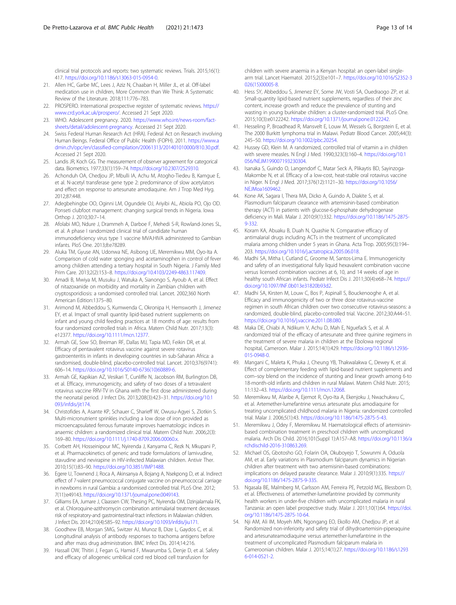<span id="page-12-0"></span>clinical trial protocols and reports: two systematic reviews. Trials. 2015;16(1): 417. [https://doi.org/10.1186/s13063-015-0954-0.](https://doi.org/10.1186/s13063-015-0954-0)

- 21. Allen HC, Garbe MC, Lees J, Aziz N, Chaaban H, Miller JL, et al. Off-label medication use in children, More Common than We Think: A Systematic Review of the Literature. 2018;111:776–783.
- 22. PROSPERO. International prospective register of systematic reviews. [https://](https://www.crd.york.ac.uk/prospero/) [www.crd.york.ac.uk/prospero/](https://www.crd.york.ac.uk/prospero/). Accessed 21 Sept 2020.
- 23. WHO. Adolescent pregnancy. 2020. [https://www.who.int/news-room/fact](https://www.who.int/news-room/fact-sheets/detail/adolescent-pregnancy)[sheets/detail/adolescent-pregnancy](https://www.who.int/news-room/fact-sheets/detail/adolescent-pregnancy). Accessed 21 Sept 2020.
- 24. Swiss Federal Human Research Act (HRA). Federal Act on Research involving Human Beings. Federal Office of Public Health (FOPH). 2011. [https://www.a](https://www.admin.ch/opc/en/classified-compilation/20061313/201401010000/810.30.pdf) [dmin.ch/opc/en/classified-compilation/20061313/201401010000/810.30.pdf.](https://www.admin.ch/opc/en/classified-compilation/20061313/201401010000/810.30.pdf) Accessed 21 Sept 2020.
- 25. Landis JR, Koch GG. The measurement of observer agreement for categorical data. Biometrics. 1977;33(1):159–74. [https://doi.org/10.2307/2529310.](https://doi.org/10.2307/2529310)
- 26. Achonduh OA, Chedjou JP, Mbulli IA, Achu M, Atogho-Tiedeu B, Kamgue E, et al. N-acetyl transferase gene type 2: predominance of slow acetylators and effect on response to artesunate amodiaquine. Am J Trop Med Hyg. 2012;87:448.
- 27. Adegbehingbe OO, Oginni LM, Ogundele OJ, Ariyibi AL, Abiola PO, Ojo OD. Ponseti clubfoot management: changing surgical trends in Nigeria. Iowa Orthop J. 2010;30:7–14.
- 28. Afolabi MO, Ndure J, Drammeh A, Darboe F, Mehedi S-R, Rowland-Jones SL, et al. A phase I randomized clinical trial of candidate human immunodeficiency virus type 1 vaccine MVA.HIVA administered to Gambian infants. PloS One. 2013;8:e78289.
- 29. Aluka TM, Gyuse AN, Udonwa NE, Asibong UE, Meremikwu MM, Oyo-Ita A. Comparison of cold water sponging and acetaminophen in control of fever among children attending a tertiary hospital in South Nigeria. J Family Med Prim Care. 2013;2(2):153–8. <https://doi.org/10.4103/2249-4863.117409>.
- 30. Amadi B, Mwiya M, Musuku J, Watuka A, Sianongo S, Ayoub A, et al. Effect of nitazoxanide on morbidity and mortality in Zambian children with cryptosporidiosis: a randomised controlled trial. Lancet. 2002;360 North American Edition:1375–80.
- 31. Arimond M, Abbeddou S, Kumwenda C, Okronipa H, Hemsworth J, Jimenez EY, et al. Impact of small quantity lipid-based nutrient supplements on infant and young child feeding practices at 18 months of age: results from four randomized controlled trials in Africa. Matern Child Nutr. 2017;13(3): e12377. [https://doi.org/10.1111/mcn.12377.](https://doi.org/10.1111/mcn.12377)
- 32. Armah GE, Sow SO, Breiman RF, Dallas MJ, Tapia MD, Feikin DR, et al. Efficacy of pentavalent rotavirus vaccine against severe rotavirus gastroenteritis in infants in developing countries in sub-Saharan Africa: a randomised, double-blind, placebo-controlled trial. Lancet. 2010;376(9741): 606–14. [https://doi.org/10.1016/S0140-6736\(10\)60889-6.](https://doi.org/10.1016/S0140-6736(10)60889-6)
- 33. Armah GE, Kapikian AZ, Vesikari T, Cunliffe N, Jacobson RM, Burlington DB, et al. Efficacy, immunogenicity, and safety of two doses of a tetravalent rotavirus vaccine RRV-TV in Ghana with the first dose administered during the neonatal period. J Infect Dis. 2013;208(3):423–31. [https://doi.org/10.1](https://doi.org/10.1093/infdis/jit174) [093/infdis/jit174](https://doi.org/10.1093/infdis/jit174).
- 34. Christofides A, Asante KP, Schauer C, Sharieff W, Owusu-Agyei S, Zlotkin S. Multi-micronutrient sprinkles including a low dose of iron provided as microencapsulated ferrous fumarate improves haematologic indices in anaemic children: a randomized clinical trial. Matern Child Nutr. 2006;2(3): 169–80. <https://doi.org/10.1111/j.1740-8709.2006.00060.x>.
- 35. Corbett AH, Hosseinipour MC, Nyirenda J, Kanyama C, Rezk N, Mkupani P, et al. Pharmacokinetics of generic and trade formulations of lamivudine, stavudine and nevirapine in HIV-infected Malawian children. Antivir Ther. 2010;15(1):83–90. [https://doi.org/10.3851/IMP1488.](https://doi.org/10.3851/IMP1488)
- 36. Egere U, Townend J, Roca A, Akinsanya A, Bojang A, Nsekpong D, et al. Indirect effect of 7-valent pneumococcal conjugate vaccine on pneumococcal carriage in newborns in rural Gambia: a randomised controlled trial. PLoS One. 2012; 7(11):e49143. <https://doi.org/10.1371/journal.pone.0049143>.
- 37. Gilliams EA, Jumare J, Claassen CW, Thesing PC, Nyirenda OM, Dzinjalamala FK, et al. Chloroquine-azithromycin combination antimalarial treatment decreases risk of respiratory-and gastrointestinal-tract infections in Malawian children. J Infect Dis. 2014;210(4):585–92. <https://doi.org/10.1093/infdis/jiu171>.
- 38. Goodhew EB, Morgan SMG, Switzer AJ, Munoz B, Dize L, Gaydos C, et al. Longitudinal analysis of antibody responses to trachoma antigens before and after mass drug administration. BMC Infect Dis. 2014;14:216.
- 39. Hassall OW, Thitiri J, Fegan G, Hamid F, Mwarumba S, Denje D, et al. Safety and efficacy of allogeneic umbilical cord red blood cell transfusion for

children with severe anaemia in a Kenyan hospital: an open-label singlearm trial. Lancet Haematol. 2015;2(3):e101–7. [https://doi.org/10.1016/S2352-3](https://doi.org/10.1016/S2352-3026(15)00005-8) [026\(15\)00005-8](https://doi.org/10.1016/S2352-3026(15)00005-8).

- 40. Hess SY, Abbeddou S, Jimenez EY, Some JW, Vosti SA, Ouedraogo ZP, et al. Small-quantity lipid-based nutrient supplements, regardless of their zinc content, increase growth and reduce the prevalence of stunting and wasting in young burkinabe children: a cluster-randomized trial. PLoS One. 2015;10(3):e0122242. <https://doi.org/10.1371/journal.pone.0122242>.
- 41. Hesseling P, Broadhead R, Mansvelt E, Louw M, Wessels G, Borgstein E, et al. The 2000 Burkitt lymphoma trial in Malawi. Pediatr Blood Cancer. 2005;44(3): 245–50. [https://doi.org/10.1002/pbc.20254.](https://doi.org/10.1002/pbc.20254)
- 42. Hussey GD, Klein M. A randomized, controlled trial of vitamin a in children with severe measles. N Engl J Med. 1990;323(3):160–4. [https://doi.org/10.1](https://doi.org/10.1056/NEJM199007193230304) [056/NEJM199007193230304](https://doi.org/10.1056/NEJM199007193230304).
- 43. Isanaka S, Guindo O, Langendorf C, Matar Seck A, Plikaytis BD, Sayinzoga-Makombe N, et al. Efficacy of a low-cost, heat-stable oral rotavirus vaccine in Niger. N Engl J Med. 2017;376(12):1121–30. [https://doi.org/10.1056/](https://doi.org/10.1056/NEJMoa1609462) [NEJMoa1609462](https://doi.org/10.1056/NEJMoa1609462).
- 44. Kone AK, Sagara I, Thera MA, Dicko A, Guindo A, Diakite S, et al. Plasmodium falciparum clearance with artemisinin-based combination therapy (ACT) in patients with glucose-6-phosphate dehydrogenase deficiency in Mali. Malar J. 2010;9(1):332. [https://doi.org/10.1186/1475-2875-](https://doi.org/10.1186/1475-2875-9-332) [9-332](https://doi.org/10.1186/1475-2875-9-332).
- 45. Koram KA, Abuaku B, Duah N, Quashie N. Comparative efficacy of antimalarial drugs including ACTs in the treatment of uncomplicated malaria among children under 5 years in Ghana. Acta Trop. 2005;95(3):194– 203. [https://doi.org/10.1016/j.actatropica.2005.06.018.](https://doi.org/10.1016/j.actatropica.2005.06.018)
- 46. Madhi SA, Mitha I, Cutland C, Groome M, Santos-Lima E. Immunogenicity and safety of an investigational fully liquid hexavalent combination vaccine versus licensed combination vaccines at 6, 10, and 14 weeks of age in healthy south African infants. Pediatr Infect Dis J. 2011;30(4):e68–74. [https://](https://doi.org/10.1097/INF.0b013e31820b93d2) [doi.org/10.1097/INF.0b013e31820b93d2.](https://doi.org/10.1097/INF.0b013e31820b93d2)
- 47. Madhi SA, Kirsten M, Louw C, Bos P, Aspinall S, Bouckenooghe A, et al. Efficacy and immunogenicity of two or three dose rotavirus-vaccine regimen in south African children over two consecutive rotavirus-seasons: a randomized, double-blind, placebo-controlled trial. Vaccine. 2012;30:A44–51. <https://doi.org/10.1016/j.vaccine.2011.08.080>.
- 48. Maka DE, Chiabi A, Ndikum V, Achu D, Mah E, Nguefack S, et al. A randomized trial of the efficacy of artesunate and three quinine regimens in the treatment of severe malaria in children at the Ebolowa regional hospital, Cameroon. Malar J. 2015;14(1):429. [https://doi.org/10.1186/s12936-](https://doi.org/10.1186/s12936-015-0948-0) [015-0948-0](https://doi.org/10.1186/s12936-015-0948-0).
- 49. Mangani C, Maleta K, Phuka J, Cheung YB, Thakwalakwa C, Dewey K, et al. Effect of complementary feeding with lipid-based nutrient supplements and corn–soy blend on the incidence of stunting and linear growth among 6-to 18-month-old infants and children in rural Malawi. Matern Child Nutr. 2015; 11:132–43. [https://doi.org/10.1111/mcn.12068.](https://doi.org/10.1111/mcn.12068)
- 50. Meremikwu M, Alaribe A, Ejemot R, Oyo-Ita A, Ekenjoku J, Nwachukwu C, et al. Artemether-lumefantrine versus artesunate plus amodiaquine for treating uncomplicated childhood malaria in Nigeria: randomized controlled trial. Malar J. 2006;5(1):43. <https://doi.org/10.1186/1475-2875-5-43>.
- 51. Meremikwu J, Odey F, Meremikwu M. Haematological effects of artemisininbased combination treatment in preschool children with uncomplicated malaria. Arch Dis Child. 2016;101(Suppl 1):A157–A8. [https://doi.org/10.1136/a](https://doi.org/10.1136/archdischild-2016-310863.269) [rchdischild-2016-310863.269](https://doi.org/10.1136/archdischild-2016-310863.269).
- 52. Michael OS, Gbotosho GO, Folarin OA, Okuboyejo T, Sowunmi A, Oduola AM, et al. Early variations in Plasmodium falciparum dynamics in Nigerian children after treatment with two artemisinin-based combinations: implications on delayed parasite clearance. Malar J. 2010;9(1):335. [https://](https://doi.org/10.1186/1475-2875-9-335) [doi.org/10.1186/1475-2875-9-335.](https://doi.org/10.1186/1475-2875-9-335)
- 53. Ngasala BE, Malmberg M, Carlsson AM, Ferreira PE, Petzold MG, Blessborn D, et al. Effectiveness of artemether-lumefantrine provided by community health workers in under-five children with uncomplicated malaria in rural Tanzania: an open label prospective study. Malar J. 2011;10(1):64. [https://doi.](https://doi.org/10.1186/1475-2875-10-64) [org/10.1186/1475-2875-10-64](https://doi.org/10.1186/1475-2875-10-64).
- 54. Nji AM, Ali IM, Moyeh MN, Ngongang EO, Ekollo AM, Chedjou JP, et al. Randomized non-inferiority and safety trial of dihydroartemisin-piperaquine and artesunateamodiaquine versus artemether-lumefantrine in the treatment of uncomplicated Plasmodium falciparum malaria in Cameroonian children. Malar J. 2015;14(1):27. [https://doi.org/10.1186/s1293](https://doi.org/10.1186/s12936-014-0521-2) [6-014-0521-2.](https://doi.org/10.1186/s12936-014-0521-2)